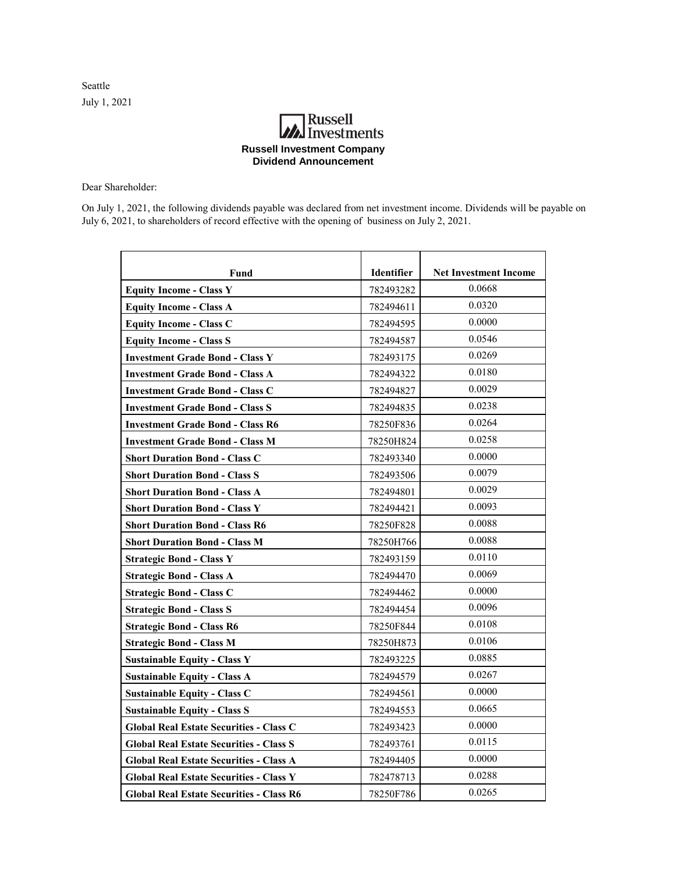Seattle July 1, 2021

## **Russell**<br>Investments **Russell Investment Company Dividend Announcement**

Dear Shareholder:

On July 1, 2021, the following dividends payable was declared from net investment income. Dividends will be payable on July 6, 2021, to shareholders of record effective with the opening of business on July 2, 2021.

| Fund                                            | <b>Identifier</b> | <b>Net Investment Income</b> |
|-------------------------------------------------|-------------------|------------------------------|
| <b>Equity Income - Class Y</b>                  | 782493282         | 0.0668                       |
| <b>Equity Income - Class A</b>                  | 782494611         | 0.0320                       |
| <b>Equity Income - Class C</b>                  | 782494595         | 0.0000                       |
| <b>Equity Income - Class S</b>                  | 782494587         | 0.0546                       |
| <b>Investment Grade Bond - Class Y</b>          | 782493175         | 0.0269                       |
| <b>Investment Grade Bond - Class A</b>          | 782494322         | 0.0180                       |
| <b>Investment Grade Bond - Class C</b>          | 782494827         | 0.0029                       |
| <b>Investment Grade Bond - Class S</b>          | 782494835         | 0.0238                       |
| <b>Investment Grade Bond - Class R6</b>         | 78250F836         | 0.0264                       |
| <b>Investment Grade Bond - Class M</b>          | 78250H824         | 0.0258                       |
| <b>Short Duration Bond - Class C</b>            | 782493340         | 0.0000                       |
| <b>Short Duration Bond - Class S</b>            | 782493506         | 0.0079                       |
| <b>Short Duration Bond - Class A</b>            | 782494801         | 0.0029                       |
| <b>Short Duration Bond - Class Y</b>            | 782494421         | 0.0093                       |
| <b>Short Duration Bond - Class R6</b>           | 78250F828         | 0.0088                       |
| <b>Short Duration Bond - Class M</b>            | 78250H766         | 0.0088                       |
| <b>Strategic Bond - Class Y</b>                 | 782493159         | 0.0110                       |
| <b>Strategic Bond - Class A</b>                 | 782494470         | 0.0069                       |
| <b>Strategic Bond - Class C</b>                 | 782494462         | 0.0000                       |
| <b>Strategic Bond - Class S</b>                 | 782494454         | 0.0096                       |
| <b>Strategic Bond - Class R6</b>                | 78250F844         | 0.0108                       |
| <b>Strategic Bond - Class M</b>                 | 78250H873         | 0.0106                       |
| <b>Sustainable Equity - Class Y</b>             | 782493225         | 0.0885                       |
| <b>Sustainable Equity - Class A</b>             | 782494579         | 0.0267                       |
| <b>Sustainable Equity - Class C</b>             | 782494561         | 0.0000                       |
| <b>Sustainable Equity - Class S</b>             | 782494553         | 0.0665                       |
| <b>Global Real Estate Securities - Class C</b>  | 782493423         | 0.0000                       |
| <b>Global Real Estate Securities - Class S</b>  | 782493761         | 0.0115                       |
| <b>Global Real Estate Securities - Class A</b>  | 782494405         | 0.0000                       |
| <b>Global Real Estate Securities - Class Y</b>  | 782478713         | 0.0288                       |
| <b>Global Real Estate Securities - Class R6</b> | 78250F786         | 0.0265                       |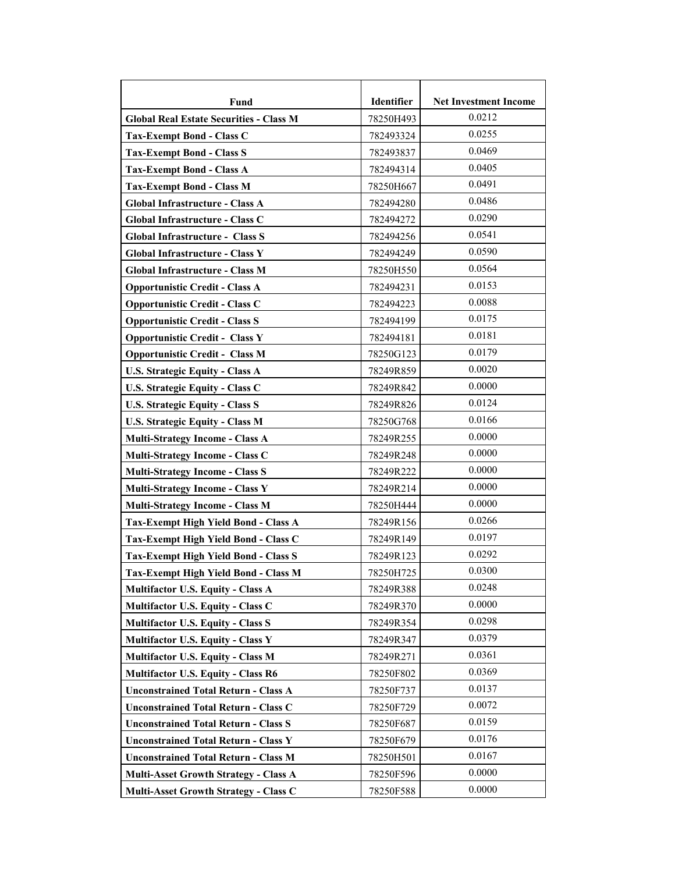| Fund                                           | Identifier | <b>Net Investment Income</b> |
|------------------------------------------------|------------|------------------------------|
| <b>Global Real Estate Securities - Class M</b> | 78250H493  | 0.0212                       |
| <b>Tax-Exempt Bond - Class C</b>               | 782493324  | 0.0255                       |
| <b>Tax-Exempt Bond - Class S</b>               | 782493837  | 0.0469                       |
| <b>Tax-Exempt Bond - Class A</b>               | 782494314  | 0.0405                       |
| <b>Tax-Exempt Bond - Class M</b>               | 78250H667  | 0.0491                       |
| Global Infrastructure - Class A                | 782494280  | 0.0486                       |
| Global Infrastructure - Class C                | 782494272  | 0.0290                       |
| <b>Global Infrastructure - Class S</b>         | 782494256  | 0.0541                       |
| Global Infrastructure - Class Y                | 782494249  | 0.0590                       |
| Global Infrastructure - Class M                | 78250H550  | 0.0564                       |
| <b>Opportunistic Credit - Class A</b>          | 782494231  | 0.0153                       |
| <b>Opportunistic Credit - Class C</b>          | 782494223  | 0.0088                       |
| <b>Opportunistic Credit - Class S</b>          | 782494199  | 0.0175                       |
| <b>Opportunistic Credit - Class Y</b>          | 782494181  | 0.0181                       |
| <b>Opportunistic Credit - Class M</b>          | 78250G123  | 0.0179                       |
| <b>U.S. Strategic Equity - Class A</b>         | 78249R859  | 0.0020                       |
| U.S. Strategic Equity - Class C                | 78249R842  | 0.0000                       |
| <b>U.S. Strategic Equity - Class S</b>         | 78249R826  | 0.0124                       |
| <b>U.S. Strategic Equity - Class M</b>         | 78250G768  | 0.0166                       |
| <b>Multi-Strategy Income - Class A</b>         | 78249R255  | 0.0000                       |
| Multi-Strategy Income - Class C                | 78249R248  | 0.0000                       |
| <b>Multi-Strategy Income - Class S</b>         | 78249R222  | 0.0000                       |
| <b>Multi-Strategy Income - Class Y</b>         | 78249R214  | 0.0000                       |
| <b>Multi-Strategy Income - Class M</b>         | 78250H444  | 0.0000                       |
| Tax-Exempt High Yield Bond - Class A           | 78249R156  | 0.0266                       |
| Tax-Exempt High Yield Bond - Class C           | 78249R149  | 0.0197                       |
| <b>Tax-Exempt High Yield Bond - Class S</b>    | 78249R123  | 0.0292                       |
| Tax-Exempt High Yield Bond - Class M           | 78250H725  | 0.0300                       |
| <b>Multifactor U.S. Equity - Class A</b>       | 78249R388  | 0.0248                       |
| Multifactor U.S. Equity - Class C              | 78249R370  | 0.0000                       |
| <b>Multifactor U.S. Equity - Class S</b>       | 78249R354  | 0.0298                       |
| <b>Multifactor U.S. Equity - Class Y</b>       | 78249R347  | 0.0379                       |
| <b>Multifactor U.S. Equity - Class M</b>       | 78249R271  | 0.0361                       |
| <b>Multifactor U.S. Equity - Class R6</b>      | 78250F802  | 0.0369                       |
| <b>Unconstrained Total Return - Class A</b>    | 78250F737  | 0.0137                       |
| <b>Unconstrained Total Return - Class C</b>    | 78250F729  | 0.0072                       |
| <b>Unconstrained Total Return - Class S</b>    | 78250F687  | 0.0159                       |
| <b>Unconstrained Total Return - Class Y</b>    | 78250F679  | 0.0176                       |
| <b>Unconstrained Total Return - Class M</b>    | 78250H501  | 0.0167                       |
| <b>Multi-Asset Growth Strategy - Class A</b>   | 78250F596  | 0.0000                       |
| Multi-Asset Growth Strategy - Class C          | 78250F588  | 0.0000                       |